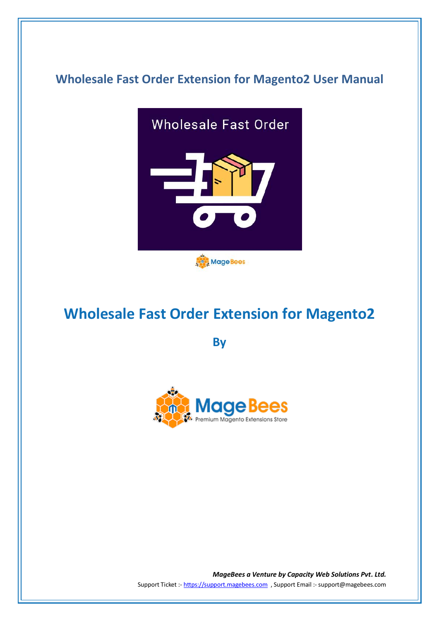## **Wholesale Fast Order Extension for Magento2 User Manual**



# **Wholesale Fast Order Extension for Magento2**

**By**



*MageBees a Venture by Capacity Web Solutions Pvt. Ltd.* Support Ticket :- https://support.magebees.com , Support Email :- support@magebees.com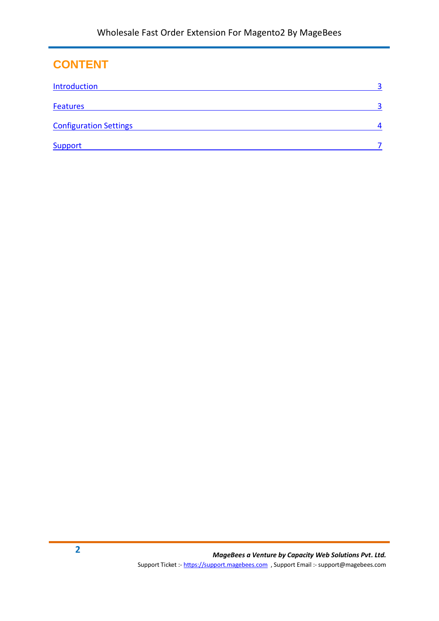### **CONTENT**

| <b>Introduction</b>           | $\mathbf{z}$ |
|-------------------------------|--------------|
| <b>Features</b>               | $\mathbf{a}$ |
| <b>Configuration Settings</b> | 4            |
| <b>Support</b>                |              |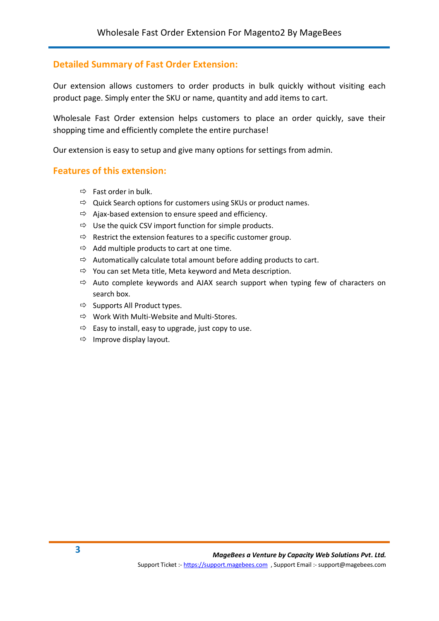#### <span id="page-2-0"></span>**Detailed Summary of Fast Order Extension:**

Our extension allows customers to order products in bulk quickly without visiting each product page. Simply enter the SKU or name, quantity and add items to cart.

Wholesale Fast Order extension helps customers to place an order quickly, save their shopping time and efficiently complete the entire purchase!

Our extension is easy to setup and give many options for settings from admin.

#### <span id="page-2-1"></span>**Features of this extension:**

- $\Rightarrow$  Fast order in bulk.
- $\Rightarrow$  Quick Search options for customers using SKUs or product names.
- $\Rightarrow$  Ajax-based extension to ensure speed and efficiency.
- $\Rightarrow$  Use the quick CSV import function for simple products.
- $\Rightarrow$  Restrict the extension features to a specific customer group.
- $\Rightarrow$  Add multiple products to cart at one time.
- $\Rightarrow$  Automatically calculate total amount before adding products to cart.
- $\Rightarrow$  You can set Meta title, Meta keyword and Meta description.
- $\Rightarrow$  Auto complete keywords and AJAX search support when typing few of characters on search box.
- $\Rightarrow$  Supports All Product types.
- $\Rightarrow$  Work With Multi-Website and Multi-Stores.
- $\Rightarrow$  Easy to install, easy to upgrade, just copy to use.
- $\Rightarrow$  Improve display layout.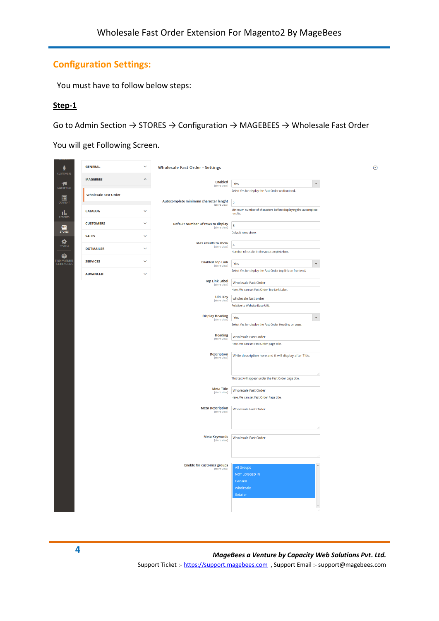#### <span id="page-3-0"></span>**Configuration Settings:**

You must have to follow below steps:

#### **Step-1**

Go to Admin Section → STORES → Configuration → MAGEBEES → Wholesale Fast Order

You will get Following Screen.

| ň                                 | <b>GENERAL</b>              | $\checkmark$<br><b>Wholesale Fast Order - Settings</b>            |                                                                           | $\odot$ |
|-----------------------------------|-----------------------------|-------------------------------------------------------------------|---------------------------------------------------------------------------|---------|
| <b>CUSTOMERS</b><br>Ч             | <b>MAGEBEES</b>             | $\lambda$<br><b>Enabled</b>                                       | $\checkmark$<br>Yes                                                       |         |
| <b>MARKETING</b>                  | <b>Wholesale Fast Order</b> | [store view]                                                      | Select Yes for display the Fast Order on frontend.                        |         |
| 同<br><b>CONTENT</b>               |                             | Autocomplete minimum character lenght<br>[store view]             | $\overline{2}$                                                            |         |
| īl,<br><b>REPORTS</b>             | <b>CATALOG</b>              | $\checkmark$                                                      | Minimum number of characters before displaying the automplete<br>results. |         |
| ▥<br><b>STORES</b>                | <b>CUSTOMERS</b>            | $\checkmark$<br>Default Number Of rows to display<br>[store view] | $\overline{\mathbf{3}}$                                                   |         |
| ❖                                 | <b>SALES</b>                | $\checkmark$<br>Max results to show                               | Default rows show.                                                        |         |
| SYSTEM                            | <b>DOTMAILER</b>            | [store view]<br>$\checkmark$                                      | $\overline{4}$<br>Number of results in the autocomplete box.              |         |
| ¢<br>IND PARTNERS<br>& EXTENSIONS | <b>SERVICES</b>             | $\checkmark$<br><b>Enabled Top Link</b><br>[store view]           | Yes<br>$\blacktriangledown$                                               |         |
|                                   | <b>ADVANCED</b>             | $\checkmark$                                                      | Select Yes for display the Fast Order top link on frontend.               |         |
|                                   |                             | <b>Top Link Label</b><br>[store view]                             | Wholesale Fast Order<br>Here, We can set Fast Order Top Link Label.       |         |
|                                   |                             | <b>URL Key</b>                                                    | wholesale-fast-order                                                      |         |
|                                   |                             | [store view]                                                      | Relative to Website Base URL.                                             |         |
|                                   |                             | <b>Display Heading</b><br>[store view]                            | Yes<br>$\overline{\mathbf{v}}$                                            |         |
|                                   |                             |                                                                   | Select Yes for display the Fast Order Heading on page.                    |         |
|                                   |                             | <b>Heading</b><br>[store view]                                    | Wholesale Fast Order                                                      |         |
|                                   |                             |                                                                   | Here, We can set Fast Order page title.                                   |         |
|                                   |                             | <b>Description</b><br>[store view]                                | Write description here and it will display after Title.                   |         |
|                                   |                             |                                                                   | This text will appear under the Fast Order page title.                    |         |
|                                   |                             | <b>Meta Title</b><br>[store view]                                 | Wholesale Fast Order                                                      |         |
|                                   |                             |                                                                   | Here, We can set Fast Order Page title.                                   |         |
|                                   |                             | <b>Meta Description</b><br>[store view]                           | Wholesale Fast Order                                                      |         |
|                                   |                             | <b>Meta Keywords</b><br>[store view]                              | Wholesale Fast Order                                                      |         |
|                                   |                             |                                                                   |                                                                           |         |
|                                   |                             | <b>Enable for customer groups</b><br>[store view]                 | <b>All Groups</b><br>NOT LOGGED IN<br>General<br>Wholesale<br>Retailer    |         |
|                                   |                             |                                                                   |                                                                           |         |

**4** *MageBees a Venture by Capacity Web Solutions Pvt. Ltd.* Support Ticket :- https://support.magebees.com , Support Email :- support@magebees.com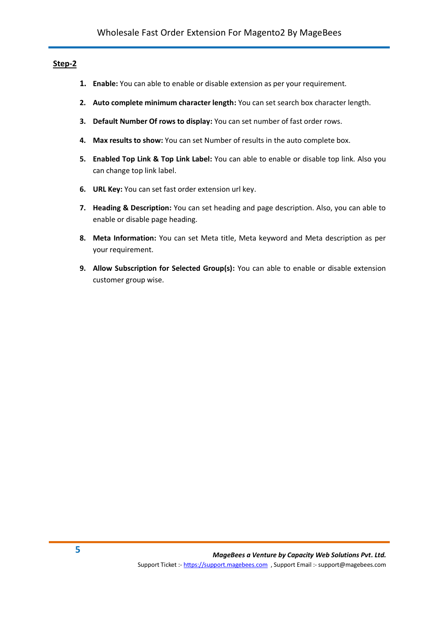#### **Step-2**

- **1. Enable:** You can able to enable or disable extension as per your requirement.
- **2. Auto complete minimum character length:** You can set search box character length.
- **3. Default Number Of rows to display:** You can set number of fast order rows.
- **4. Max results to show:** You can set Number of results in the auto complete box.
- **5. Enabled Top Link & Top Link Label:** You can able to enable or disable top link. Also you can change top link label.
- **6. URL Key:** You can set fast order extension url key.
- **7. Heading & Description:** You can set heading and page description. Also, you can able to enable or disable page heading.
- **8. Meta Information:** You can set Meta title, Meta keyword and Meta description as per your requirement.
- **9. Allow Subscription for Selected Group(s):** You can able to enable or disable extension customer group wise.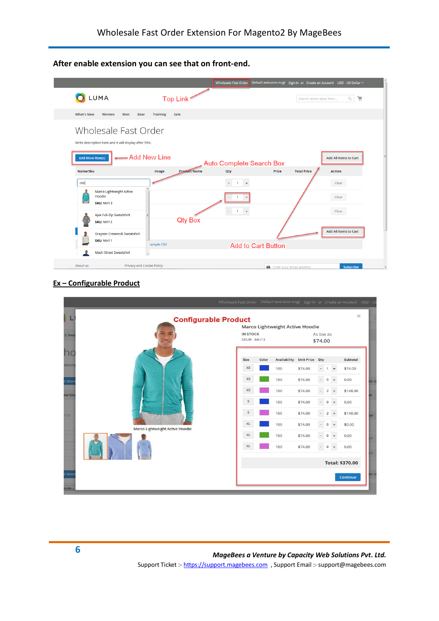**After enable extension you can see that on front-end.** 



#### **Ex – Configurable Product**